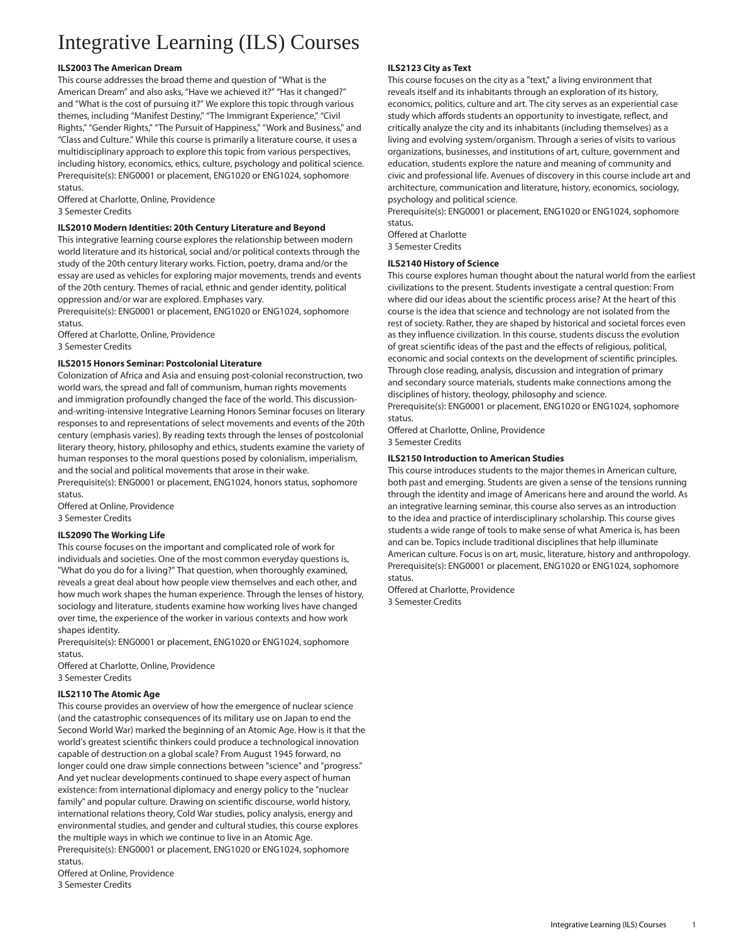# Integrative Learning (ILS) Courses

# **ILS2003 The American Dream**

This course addresses the broad theme and question of "What is the American Dream" and also asks, "Have we achieved it?" "Has it changed?" and "What is the cost of pursuing it?" We explore this topic through various themes, including "Manifest Destiny," "The Immigrant Experience," "Civil Rights," "Gender Rights," "The Pursuit of Happiness," "Work and Business," and "Class and Culture." While this course is primarily a literature course, it uses a multidisciplinary approach to explore this topic from various perspectives, including history, economics, ethics, culture, psychology and political science. Prerequisite(s): [ENG0001](/search/?P=ENG0001) or placement, [ENG1020](/search/?P=ENG1020) or [ENG1024](/search/?P=ENG1024), sophomore status.

Offered at Charlotte, Online, Providence 3 Semester Credits

# **ILS2010 Modern Identities: 20th Century Literature and Beyond**

This integrative learning course explores the relationship between modern world literature and its historical, social and/or political contexts through the study of the 20th century literary works. Fiction, poetry, drama and/or the essay are used as vehicles for exploring major movements, trends and events of the 20th century. Themes of racial, ethnic and gender identity, political oppression and/or war are explored. Emphases vary.

Prerequisite(s): [ENG0001](/search/?P=ENG0001) or placement, [ENG1020](/search/?P=ENG1020) or [ENG1024](/search/?P=ENG1024), sophomore status.

Offered at Charlotte, Online, Providence 3 Semester Credits

# **ILS2015 Honors Seminar: Postcolonial Literature**

Colonization of Africa and Asia and ensuing post-colonial reconstruction, two world wars, the spread and fall of communism, human rights movements and immigration profoundly changed the face of the world. This discussionand-writing-intensive Integrative Learning Honors Seminar focuses on literary responses to and representations of select movements and events of the 20th century (emphasis varies). By reading texts through the lenses of postcolonial literary theory, history, philosophy and ethics, students examine the variety of human responses to the moral questions posed by colonialism, imperialism, and the social and political movements that arose in their wake.

Prerequisite(s): [ENG0001](/search/?P=ENG0001) or placement, [ENG1024](/search/?P=ENG1024), honors status, sophomore status.

Offered at Online, Providence 3 Semester Credits

# **ILS2090 The Working Life**

This course focuses on the important and complicated role of work for individuals and societies. One of the most common everyday questions is, "What do you do for a living?" That question, when thoroughly examined, reveals a great deal about how people view themselves and each other, and how much work shapes the human experience. Through the lenses of history, sociology and literature, students examine how working lives have changed over time, the experience of the worker in various contexts and how work shapes identity.

Prerequisite(s): [ENG0001](/search/?P=ENG0001) or placement, [ENG1020](/search/?P=ENG1020) or [ENG1024](/search/?P=ENG1024), sophomore status.

Offered at Charlotte, Online, Providence 3 Semester Credits

# **ILS2110 The Atomic Age**

This course provides an overview of how the emergence of nuclear science (and the catastrophic consequences of its military use on Japan to end the Second World War) marked the beginning of an Atomic Age. How is it that the world's greatest scientific thinkers could produce a technological innovation capable of destruction on a global scale? From August 1945 forward, no longer could one draw simple connections between "science" and "progress." And yet nuclear developments continued to shape every aspect of human existence: from international diplomacy and energy policy to the "nuclear family" and popular culture. Drawing on scientific discourse, world history, international relations theory, Cold War studies, policy analysis, energy and environmental studies, and gender and cultural studies, this course explores the multiple ways in which we continue to live in an Atomic Age. Prerequisite(s): [ENG0001](/search/?P=ENG0001) or placement, [ENG1020](/search/?P=ENG1020) or [ENG1024](/search/?P=ENG1024), sophomore status.

Offered at Online, Providence 3 Semester Credits

# **ILS2123 City as Text**

This course focuses on the city as a "text," a living environment that reveals itself and its inhabitants through an exploration of its history, economics, politics, culture and art. The city serves as an experiential case study which affords students an opportunity to investigate, reflect, and critically analyze the city and its inhabitants (including themselves) as a living and evolving system/organism. Through a series of visits to various organizations, businesses, and institutions of art, culture, government and education, students explore the nature and meaning of community and civic and professional life. Avenues of discovery in this course include art and architecture, communication and literature, history, economics, sociology, psychology and political science.

Prerequisite(s): [ENG0001](/search/?P=ENG0001) or placement, [ENG1020](/search/?P=ENG1020) or [ENG1024,](/search/?P=ENG1024) sophomore status.

Offered at Charlotte 3 Semester Credits

# **ILS2140 History of Science**

This course explores human thought about the natural world from the earliest civilizations to the present. Students investigate a central question: From where did our ideas about the scientific process arise? At the heart of this course is the idea that science and technology are not isolated from the rest of society. Rather, they are shaped by historical and societal forces even as they influence civilization. In this course, students discuss the evolution of great scientific ideas of the past and the effects of religious, political, economic and social contexts on the development of scientific principles. Through close reading, analysis, discussion and integration of primary and secondary source materials, students make connections among the disciplines of history, theology, philosophy and science.

Prerequisite(s): [ENG0001](/search/?P=ENG0001) or placement, [ENG1020](/search/?P=ENG1020) or [ENG1024,](/search/?P=ENG1024) sophomore status.

Offered at Charlotte, Online, Providence 3 Semester Credits

# **ILS2150 Introduction to American Studies**

This course introduces students to the major themes in American culture, both past and emerging. Students are given a sense of the tensions running through the identity and image of Americans here and around the world. As an integrative learning seminar, this course also serves as an introduction to the idea and practice of interdisciplinary scholarship. This course gives students a wide range of tools to make sense of what America is, has been and can be. Topics include traditional disciplines that help illuminate American culture. Focus is on art, music, literature, history and anthropology. Prerequisite(s): [ENG0001](/search/?P=ENG0001) or placement, [ENG1020](/search/?P=ENG1020) or [ENG1024,](/search/?P=ENG1024) sophomore status.

Offered at Charlotte, Providence 3 Semester Credits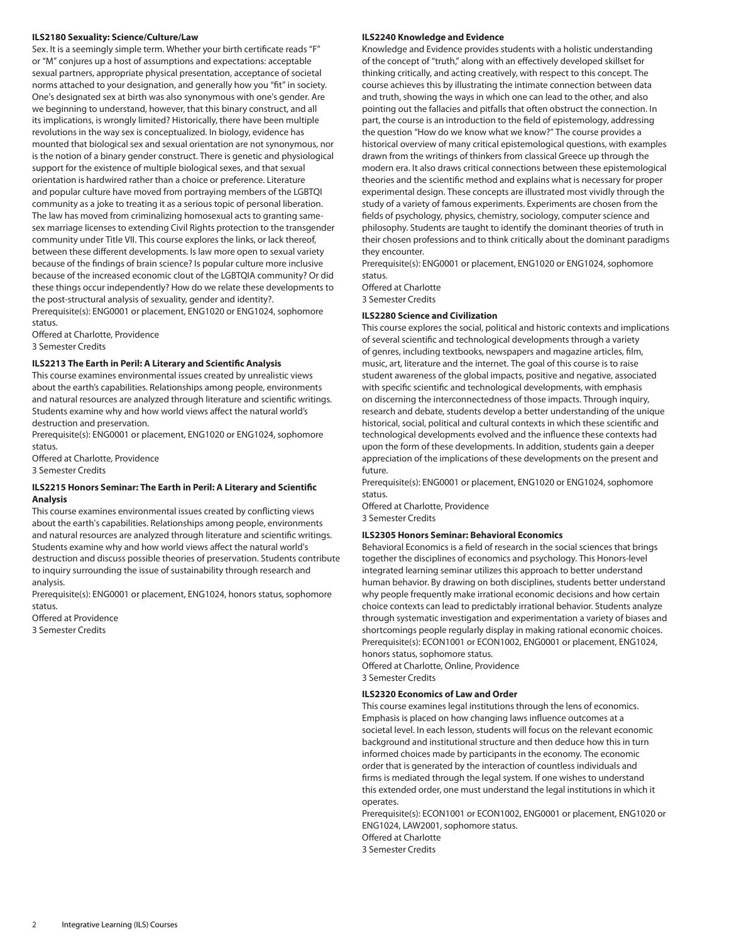#### **ILS2180 Sexuality: Science/Culture/Law**

Sex. It is a seemingly simple term. Whether your birth certificate reads "F" or "M" conjures up a host of assumptions and expectations: acceptable sexual partners, appropriate physical presentation, acceptance of societal norms attached to your designation, and generally how you "fit" in society. One's designated sex at birth was also synonymous with one's gender. Are we beginning to understand, however, that this binary construct, and all its implications, is wrongly limited? Historically, there have been multiple revolutions in the way sex is conceptualized. In biology, evidence has mounted that biological sex and sexual orientation are not synonymous, nor is the notion of a binary gender construct. There is genetic and physiological support for the existence of multiple biological sexes, and that sexual orientation is hardwired rather than a choice or preference. Literature and popular culture have moved from portraying members of the LGBTQI community as a joke to treating it as a serious topic of personal liberation. The law has moved from criminalizing homosexual acts to granting samesex marriage licenses to extending Civil Rights protection to the transgender community under Title VII. This course explores the links, or lack thereof, between these different developments. Is law more open to sexual variety because of the findings of brain science? Is popular culture more inclusive because of the increased economic clout of the LGBTQIA community? Or did these things occur independently? How do we relate these developments to the post-structural analysis of sexuality, gender and identity?.

Prerequisite(s): [ENG0001](/search/?P=ENG0001) or placement, [ENG1020](/search/?P=ENG1020) or [ENG1024,](/search/?P=ENG1024) sophomore status.

Offered at Charlotte, Providence 3 Semester Credits

#### **ILS2213 The Earth in Peril: A Literary and Scientic Analysis**

This course examines environmental issues created by unrealistic views about the earth's capabilities. Relationships among people, environments and natural resources are analyzed through literature and scientific writings. Students examine why and how world views affect the natural world's destruction and preservation.

Prerequisite(s): [ENG0001](/search/?P=ENG0001) or placement, [ENG1020](/search/?P=ENG1020) or [ENG1024,](/search/?P=ENG1024) sophomore status.

Offered at Charlotte, Providence

3 Semester Credits

#### **ILS2215 Honors Seminar: The Earth in Peril: A Literary and Scientic Analysis**

This course examines environmental issues created by conflicting views about the earth's capabilities. Relationships among people, environments and natural resources are analyzed through literature and scientific writings. Students examine why and how world views affect the natural world's destruction and discuss possible theories of preservation. Students contribute to inquiry surrounding the issue of sustainability through research and analysis.

Prerequisite(s): [ENG0001](/search/?P=ENG0001) or placement, [ENG1024,](/search/?P=ENG1024) honors status, sophomore status.

Offered at Providence 3 Semester Credits

#### **ILS2240 Knowledge and Evidence**

Knowledge and Evidence provides students with a holistic understanding of the concept of "truth," along with an effectively developed skillset for thinking critically, and acting creatively, with respect to this concept. The course achieves this by illustrating the intimate connection between data and truth, showing the ways in which one can lead to the other, and also pointing out the fallacies and pitfalls that often obstruct the connection. In part, the course is an introduction to the field of epistemology, addressing the question "How do we know what we know?" The course provides a historical overview of many critical epistemological questions, with examples drawn from the writings of thinkers from classical Greece up through the modern era. It also draws critical connections between these epistemological theories and the scientific method and explains what is necessary for proper experimental design. These concepts are illustrated most vividly through the study of a variety of famous experiments. Experiments are chosen from the fields of psychology, physics, chemistry, sociology, computer science and philosophy. Students are taught to identify the dominant theories of truth in their chosen professions and to think critically about the dominant paradigms they encounter.

Prerequisite(s): [ENG0001](/search/?P=ENG0001) or placement, [ENG1020](/search/?P=ENG1020) or [ENG1024,](/search/?P=ENG1024) sophomore status. Offered at Charlotte

3 Semester Credits

#### **ILS2280 Science and Civilization**

This course explores the social, political and historic contexts and implications of several scientific and technological developments through a variety of genres, including textbooks, newspapers and magazine articles, film, music, art, literature and the internet. The goal of this course is to raise student awareness of the global impacts, positive and negative, associated with specific scientific and technological developments, with emphasis on discerning the interconnectedness of those impacts. Through inquiry, research and debate, students develop a better understanding of the unique historical, social, political and cultural contexts in which these scientific and technological developments evolved and the influence these contexts had upon the form of these developments. In addition, students gain a deeper appreciation of the implications of these developments on the present and future.

Prerequisite(s): [ENG0001](/search/?P=ENG0001) or placement, [ENG1020](/search/?P=ENG1020) or [ENG1024,](/search/?P=ENG1024) sophomore status.

Offered at Charlotte, Providence 3 Semester Credits

#### **ILS2305 Honors Seminar: Behavioral Economics**

Behavioral Economics is a field of research in the social sciences that brings together the disciplines of economics and psychology. This Honors-level integrated learning seminar utilizes this approach to better understand human behavior. By drawing on both disciplines, students better understand why people frequently make irrational economic decisions and how certain choice contexts can lead to predictably irrational behavior. Students analyze through systematic investigation and experimentation a variety of biases and shortcomings people regularly display in making rational economic choices. Prerequisite(s): [ECON1001](/search/?P=ECON1001) or [ECON1002,](/search/?P=ECON1002) [ENG0001](/search/?P=ENG0001) or placement, [ENG1024,](/search/?P=ENG1024) honors status, sophomore status.

Offered at Charlotte, Online, Providence

3 Semester Credits

#### **ILS2320 Economics of Law and Order**

This course examines legal institutions through the lens of economics. Emphasis is placed on how changing laws influence outcomes at a societal level. In each lesson, students will focus on the relevant economic background and institutional structure and then deduce how this in turn informed choices made by participants in the economy. The economic order that is generated by the interaction of countless individuals and firms is mediated through the legal system. If one wishes to understand this extended order, one must understand the legal institutions in which it operates.

Prerequisite(s): [ECON1001](/search/?P=ECON1001) or [ECON1002,](/search/?P=ECON1002) [ENG0001](/search/?P=ENG0001) or placement, [ENG1020](/search/?P=ENG1020) or [ENG1024,](/search/?P=ENG1024) [LAW2001,](/search/?P=LAW2001) sophomore status. Offered at Charlotte

3 Semester Credits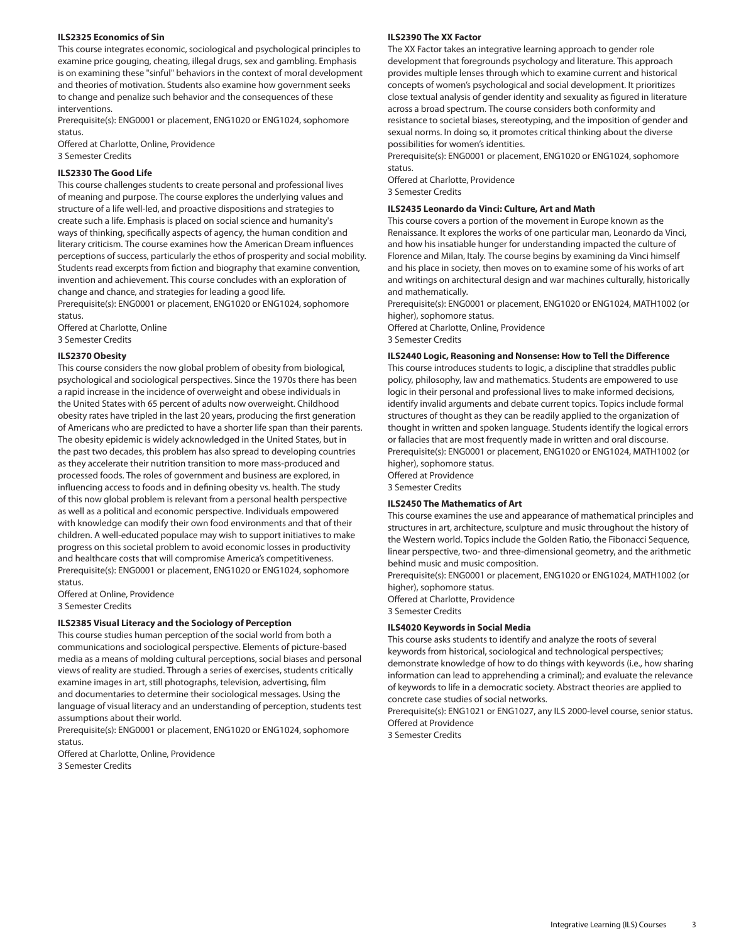#### **ILS2325 Economics of Sin**

This course integrates economic, sociological and psychological principles to examine price gouging, cheating, illegal drugs, sex and gambling. Emphasis is on examining these "sinful" behaviors in the context of moral development and theories of motivation. Students also examine how government seeks to change and penalize such behavior and the consequences of these interventions.

Prerequisite(s): [ENG0001](/search/?P=ENG0001) or placement, [ENG1020](/search/?P=ENG1020) or [ENG1024](/search/?P=ENG1024), sophomore status.

Offered at Charlotte, Online, Providence 3 Semester Credits

#### **ILS2330 The Good Life**

This course challenges students to create personal and professional lives of meaning and purpose. The course explores the underlying values and structure of a life well-led, and proactive dispositions and strategies to create such a life. Emphasis is placed on social science and humanity's ways of thinking, specifically aspects of agency, the human condition and literary criticism. The course examines how the American Dream influences perceptions of success, particularly the ethos of prosperity and social mobility. Students read excerpts from fiction and biography that examine convention, invention and achievement. This course concludes with an exploration of change and chance, and strategies for leading a good life.

Prerequisite(s): [ENG0001](/search/?P=ENG0001) or placement, [ENG1020](/search/?P=ENG1020) or [ENG1024](/search/?P=ENG1024), sophomore status.

Offered at Charlotte, Online 3 Semester Credits

#### **ILS2370 Obesity**

This course considers the now global problem of obesity from biological, psychological and sociological perspectives. Since the 1970s there has been a rapid increase in the incidence of overweight and obese individuals in the United States with 65 percent of adults now overweight. Childhood obesity rates have tripled in the last 20 years, producing the first generation of Americans who are predicted to have a shorter life span than their parents. The obesity epidemic is widely acknowledged in the United States, but in the past two decades, this problem has also spread to developing countries as they accelerate their nutrition transition to more mass-produced and processed foods. The roles of government and business are explored, in influencing access to foods and in defining obesity vs. health. The study of this now global problem is relevant from a personal health perspective as well as a political and economic perspective. Individuals empowered with knowledge can modify their own food environments and that of their children. A well-educated populace may wish to support initiatives to make progress on this societal problem to avoid economic losses in productivity and healthcare costs that will compromise America's competitiveness. Prerequisite(s): [ENG0001](/search/?P=ENG0001) or placement, [ENG1020](/search/?P=ENG1020) or [ENG1024](/search/?P=ENG1024), sophomore status.

Offered at Online, Providence 3 Semester Credits

#### **ILS2385 Visual Literacy and the Sociology of Perception**

This course studies human perception of the social world from both a communications and sociological perspective. Elements of picture-based media as a means of molding cultural perceptions, social biases and personal views of reality are studied. Through a series of exercises, students critically examine images in art, still photographs, television, advertising, film and documentaries to determine their sociological messages. Using the language of visual literacy and an understanding of perception, students test assumptions about their world.

Prerequisite(s): [ENG0001](/search/?P=ENG0001) or placement, [ENG1020](/search/?P=ENG1020) or [ENG1024](/search/?P=ENG1024), sophomore status.

Offered at Charlotte, Online, Providence 3 Semester Credits

#### **ILS2390 The XX Factor**

The XX Factor takes an integrative learning approach to gender role development that foregrounds psychology and literature. This approach provides multiple lenses through which to examine current and historical concepts of women's psychological and social development. It prioritizes close textual analysis of gender identity and sexuality as figured in literature across a broad spectrum. The course considers both conformity and resistance to societal biases, stereotyping, and the imposition of gender and sexual norms. In doing so, it promotes critical thinking about the diverse possibilities for women's identities.

Prerequisite(s): [ENG0001](/search/?P=ENG0001) or placement, [ENG1020](/search/?P=ENG1020) or [ENG1024,](/search/?P=ENG1024) sophomore status.

Offered at Charlotte, Providence

3 Semester Credits

#### **ILS2435 Leonardo da Vinci: Culture, Art and Math**

This course covers a portion of the movement in Europe known as the Renaissance. It explores the works of one particular man, Leonardo da Vinci, and how his insatiable hunger for understanding impacted the culture of Florence and Milan, Italy. The course begins by examining da Vinci himself and his place in society, then moves on to examine some of his works of art and writings on architectural design and war machines culturally, historically and mathematically.

Prerequisite(s): [ENG0001](/search/?P=ENG0001) or placement, [ENG1020](/search/?P=ENG1020) or [ENG1024,](/search/?P=ENG1024) [MATH1002](/search/?P=MATH1002) (or higher), sophomore status.

Offered at Charlotte, Online, Providence 3 Semester Credits

#### **ILS2440 Logic, Reasoning and Nonsense: How to Tell the Difference**

This course introduces students to logic, a discipline that straddles public policy, philosophy, law and mathematics. Students are empowered to use logic in their personal and professional lives to make informed decisions, identify invalid arguments and debate current topics. Topics include formal structures of thought as they can be readily applied to the organization of thought in written and spoken language. Students identify the logical errors or fallacies that are most frequently made in written and oral discourse. Prerequisite(s): [ENG0001](/search/?P=ENG0001) or placement, [ENG1020](/search/?P=ENG1020) or [ENG1024,](/search/?P=ENG1024) [MATH1002](/search/?P=MATH1002) (or higher), sophomore status.

Offered at Providence

3 Semester Credits

#### **ILS2450 The Mathematics of Art**

This course examines the use and appearance of mathematical principles and structures in art, architecture, sculpture and music throughout the history of the Western world. Topics include the Golden Ratio, the Fibonacci Sequence, linear perspective, two- and three-dimensional geometry, and the arithmetic behind music and music composition.

Prerequisite(s): [ENG0001](/search/?P=ENG0001) or placement, [ENG1020](/search/?P=ENG1020) or [ENG1024,](/search/?P=ENG1024) [MATH1002](/search/?P=MATH1002) (or higher), sophomore status.

Offered at Charlotte, Providence 3 Semester Credits

#### **ILS4020 Keywords in Social Media**

This course asks students to identify and analyze the roots of several keywords from historical, sociological and technological perspectives; demonstrate knowledge of how to do things with keywords (i.e., how sharing information can lead to apprehending a criminal); and evaluate the relevance of keywords to life in a democratic society. Abstract theories are applied to concrete case studies of social networks.

Prerequisite(s): [ENG1021](/search/?P=ENG1021) or [ENG1027](/search/?P=ENG1027), any ILS 2000-level course, senior status. Offered at Providence

3 Semester Credits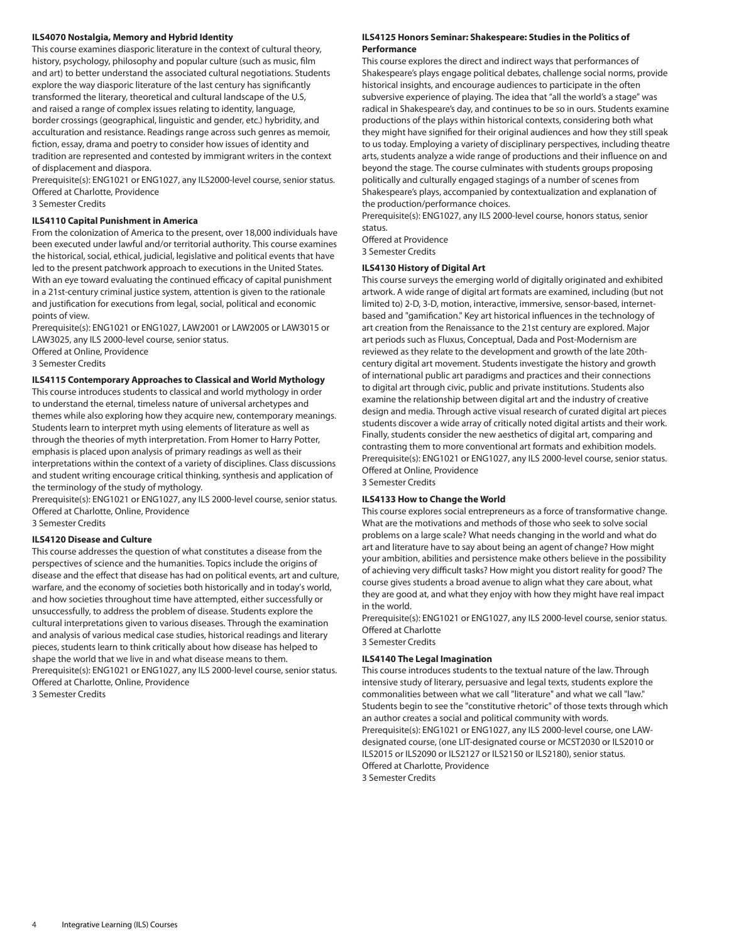#### **ILS4070 Nostalgia, Memory and Hybrid Identity**

This course examines diasporic literature in the context of cultural theory, history, psychology, philosophy and popular culture (such as music, film and art) to better understand the associated cultural negotiations. Students explore the way diasporic literature of the last century has significantly transformed the literary, theoretical and cultural landscape of the U.S, and raised a range of complex issues relating to identity, language, border crossings (geographical, linguistic and gender, etc.) hybridity, and acculturation and resistance. Readings range across such genres as memoir, fiction, essay, drama and poetry to consider how issues of identity and tradition are represented and contested by immigrant writers in the context of displacement and diaspora.

Prerequisite(s): [ENG1021](/search/?P=ENG1021) or [ENG1027,](/search/?P=ENG1027) any ILS2000-level course, senior status. Offered at Charlotte, Providence

3 Semester Credits

# **ILS4110 Capital Punishment in America**

From the colonization of America to the present, over 18,000 individuals have been executed under lawful and/or territorial authority. This course examines the historical, social, ethical, judicial, legislative and political events that have led to the present patchwork approach to executions in the United States. With an eye toward evaluating the continued efficacy of capital punishment in a 21st-century criminal justice system, attention is given to the rationale and justification for executions from legal, social, political and economic points of view.

Prerequisite(s): [ENG1021](/search/?P=ENG1021) or [ENG1027,](/search/?P=ENG1027) [LAW2001](/search/?P=LAW2001) or [LAW2005](/search/?P=LAW2005) or [LAW3015](/search/?P=LAW3015) or [LAW3025](/search/?P=LAW3025), any ILS 2000-level course, senior status. Offered at Online, Providence

3 Semester Credits

#### **ILS4115 Contemporary Approaches to Classical and World Mythology**

This course introduces students to classical and world mythology in order to understand the eternal, timeless nature of universal archetypes and themes while also exploring how they acquire new, contemporary meanings. Students learn to interpret myth using elements of literature as well as through the theories of myth interpretation. From Homer to Harry Potter, emphasis is placed upon analysis of primary readings as well as their interpretations within the context of a variety of disciplines. Class discussions and student writing encourage critical thinking, synthesis and application of the terminology of the study of mythology.

Prerequisite(s): [ENG1021](/search/?P=ENG1021) or [ENG1027,](/search/?P=ENG1027) any ILS 2000-level course, senior status. Offered at Charlotte, Online, Providence

3 Semester Credits

#### **ILS4120 Disease and Culture**

This course addresses the question of what constitutes a disease from the perspectives of science and the humanities. Topics include the origins of disease and the effect that disease has had on political events, art and culture, warfare, and the economy of societies both historically and in today's world, and how societies throughout time have attempted, either successfully or unsuccessfully, to address the problem of disease. Students explore the cultural interpretations given to various diseases. Through the examination and analysis of various medical case studies, historical readings and literary pieces, students learn to think critically about how disease has helped to shape the world that we live in and what disease means to them. Prerequisite(s): [ENG1021](/search/?P=ENG1021) or [ENG1027,](/search/?P=ENG1027) any ILS 2000-level course, senior status. Offered at Charlotte, Online, Providence 3 Semester Credits

#### **ILS4125 Honors Seminar: Shakespeare: Studies in the Politics of Performance**

This course explores the direct and indirect ways that performances of Shakespeare's plays engage political debates, challenge social norms, provide historical insights, and encourage audiences to participate in the often subversive experience of playing. The idea that "all the world's a stage" was radical in Shakespeare's day, and continues to be so in ours. Students examine productions of the plays within historical contexts, considering both what they might have signified for their original audiences and how they still speak to us today. Employing a variety of disciplinary perspectives, including theatre arts, students analyze a wide range of productions and their influence on and beyond the stage. The course culminates with students groups proposing politically and culturally engaged stagings of a number of scenes from Shakespeare's plays, accompanied by contextualization and explanation of the production/performance choices.

Prerequisite(s): [ENG1027,](/search/?P=ENG1027) any ILS 2000-level course, honors status, senior status.

Offered at Providence 3 Semester Credits

#### **ILS4130 History of Digital Art**

This course surveys the emerging world of digitally originated and exhibited artwork. A wide range of digital art formats are examined, including (but not limited to) 2-D, 3-D, motion, interactive, immersive, sensor-based, internetbased and "gamification." Key art historical influences in the technology of art creation from the Renaissance to the 21st century are explored. Major art periods such as Fluxus, Conceptual, Dada and Post-Modernism are reviewed as they relate to the development and growth of the late 20thcentury digital art movement. Students investigate the history and growth of international public art paradigms and practices and their connections to digital art through civic, public and private institutions. Students also examine the relationship between digital art and the industry of creative design and media. Through active visual research of curated digital art pieces students discover a wide array of critically noted digital artists and their work. Finally, students consider the new aesthetics of digital art, comparing and contrasting them to more conventional art formats and exhibition models. Prerequisite(s): [ENG1021](/search/?P=ENG1021) or [ENG1027,](/search/?P=ENG1027) any ILS 2000-level course, senior status. Offered at Online, Providence 3 Semester Credits

**ILS4133 How to Change the World**

This course explores social entrepreneurs as a force of transformative change. What are the motivations and methods of those who seek to solve social problems on a large scale? What needs changing in the world and what do art and literature have to say about being an agent of change? How might your ambition, abilities and persistence make others believe in the possibility of achieving very difficult tasks? How might you distort reality for good? The course gives students a broad avenue to align what they care about, what they are good at, and what they enjoy with how they might have real impact in the world.

Prerequisite(s): [ENG1021](/search/?P=ENG1021) or [ENG1027,](/search/?P=ENG1027) any ILS 2000-level course, senior status. Offered at Charlotte

3 Semester Credits

#### **ILS4140 The Legal Imagination**

This course introduces students to the textual nature of the law. Through intensive study of literary, persuasive and legal texts, students explore the commonalities between what we call "literature" and what we call "law." Students begin to see the "constitutive rhetoric" of those texts through which an author creates a social and political community with words. Prerequisite(s): [ENG1021](/search/?P=ENG1021) or [ENG1027,](/search/?P=ENG1027) any ILS 2000-level course, one LAWdesignated course, (one LIT-designated course or [MCST2030](/search/?P=MCST2030) or [ILS2010](/search/?P=ILS2010) or [ILS2015](/search/?P=ILS2015) or [ILS2090](/search/?P=ILS2090) or ILS2127 or [ILS2150](/search/?P=ILS2150) or [ILS2180](/search/?P=ILS2180)), senior status. Offered at Charlotte, Providence

3 Semester Credits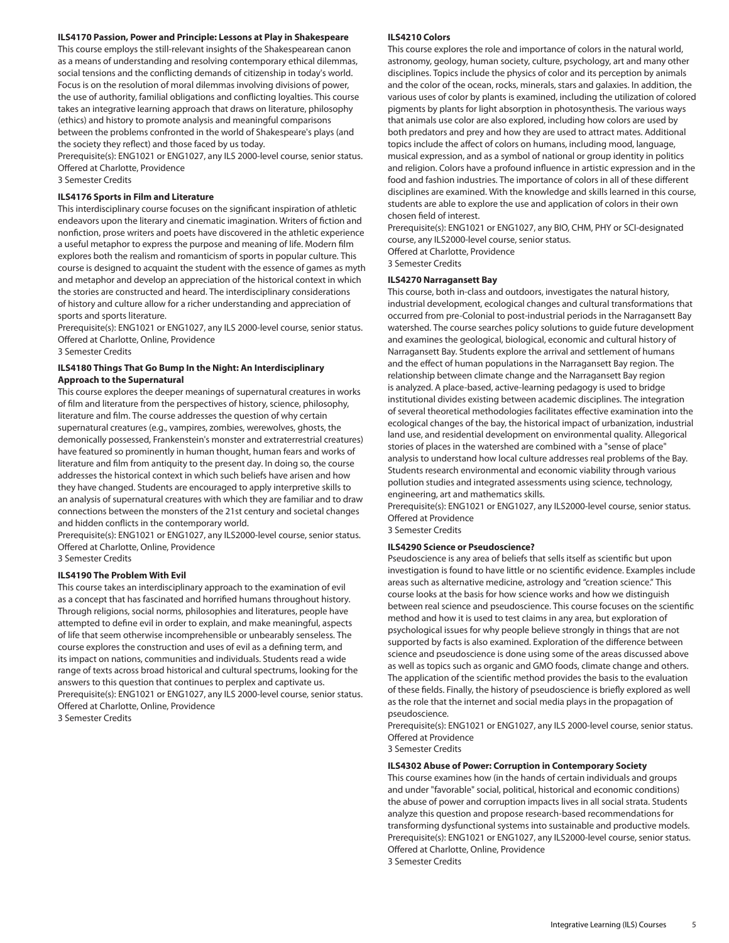#### **ILS4170 Passion, Power and Principle: Lessons at Play in Shakespeare**

This course employs the still-relevant insights of the Shakespearean canon as a means of understanding and resolving contemporary ethical dilemmas, social tensions and the conflicting demands of citizenship in today's world. Focus is on the resolution of moral dilemmas involving divisions of power, the use of authority, familial obligations and conflicting loyalties. This course takes an integrative learning approach that draws on literature, philosophy (ethics) and history to promote analysis and meaningful comparisons between the problems confronted in the world of Shakespeare's plays (and the society they reflect) and those faced by us today.

Prerequisite(s): [ENG1021](/search/?P=ENG1021) or [ENG1027](/search/?P=ENG1027), any ILS 2000-level course, senior status. Offered at Charlotte, Providence

3 Semester Credits

#### **ILS4176 Sports in Film and Literature**

This interdisciplinary course focuses on the significant inspiration of athletic endeavors upon the literary and cinematic imagination. Writers of fiction and nonfiction, prose writers and poets have discovered in the athletic experience a useful metaphor to express the purpose and meaning of life. Modern film explores both the realism and romanticism of sports in popular culture. This course is designed to acquaint the student with the essence of games as myth and metaphor and develop an appreciation of the historical context in which the stories are constructed and heard. The interdisciplinary considerations of history and culture allow for a richer understanding and appreciation of sports and sports literature.

Prerequisite(s): [ENG1021](/search/?P=ENG1021) or [ENG1027](/search/?P=ENG1027), any ILS 2000-level course, senior status. Offered at Charlotte, Online, Providence

3 Semester Credits

#### **ILS4180 Things That Go Bump In the Night: An Interdisciplinary Approach to the Supernatural**

This course explores the deeper meanings of supernatural creatures in works of film and literature from the perspectives of history, science, philosophy, literature and film. The course addresses the question of why certain supernatural creatures (e.g., vampires, zombies, werewolves, ghosts, the demonically possessed, Frankenstein's monster and extraterrestrial creatures) have featured so prominently in human thought, human fears and works of literature and film from antiquity to the present day. In doing so, the course addresses the historical context in which such beliefs have arisen and how they have changed. Students are encouraged to apply interpretive skills to an analysis of supernatural creatures with which they are familiar and to draw connections between the monsters of the 21st century and societal changes and hidden conflicts in the contemporary world.

Prerequisite(s): [ENG1021](/search/?P=ENG1021) or [ENG1027](/search/?P=ENG1027), any ILS2000-level course, senior status. Offered at Charlotte, Online, Providence 3 Semester Credits

#### **ILS4190 The Problem With Evil**

This course takes an interdisciplinary approach to the examination of evil as a concept that has fascinated and horrified humans throughout history. Through religions, social norms, philosophies and literatures, people have attempted to define evil in order to explain, and make meaningful, aspects of life that seem otherwise incomprehensible or unbearably senseless. The course explores the construction and uses of evil as a defining term, and its impact on nations, communities and individuals. Students read a wide range of texts across broad historical and cultural spectrums, looking for the answers to this question that continues to perplex and captivate us. Prerequisite(s): [ENG1021](/search/?P=ENG1021) or [ENG1027](/search/?P=ENG1027), any ILS 2000-level course, senior status. Offered at Charlotte, Online, Providence 3 Semester Credits

#### **ILS4210 Colors**

This course explores the role and importance of colors in the natural world, astronomy, geology, human society, culture, psychology, art and many other disciplines. Topics include the physics of color and its perception by animals and the color of the ocean, rocks, minerals, stars and galaxies. In addition, the various uses of color by plants is examined, including the utilization of colored pigments by plants for light absorption in photosynthesis. The various ways that animals use color are also explored, including how colors are used by both predators and prey and how they are used to attract mates. Additional topics include the affect of colors on humans, including mood, language, musical expression, and as a symbol of national or group identity in politics and religion. Colors have a profound influence in artistic expression and in the food and fashion industries. The importance of colors in all of these different disciplines are examined. With the knowledge and skills learned in this course, students are able to explore the use and application of colors in their own chosen field of interest.

Prerequisite(s): [ENG1021](/search/?P=ENG1021) or [ENG1027](/search/?P=ENG1027), any BIO, CHM, PHY or SCI-designated course, any ILS2000-level course, senior status. Offered at Charlotte, Providence

3 Semester Credits

#### **ILS4270 Narragansett Bay**

This course, both in-class and outdoors, investigates the natural history, industrial development, ecological changes and cultural transformations that occurred from pre-Colonial to post-industrial periods in the Narragansett Bay watershed. The course searches policy solutions to guide future development and examines the geological, biological, economic and cultural history of Narragansett Bay. Students explore the arrival and settlement of humans and the effect of human populations in the Narragansett Bay region. The relationship between climate change and the Narragansett Bay region is analyzed. A place-based, active-learning pedagogy is used to bridge institutional divides existing between academic disciplines. The integration of several theoretical methodologies facilitates effective examination into the ecological changes of the bay, the historical impact of urbanization, industrial land use, and residential development on environmental quality. Allegorical stories of places in the watershed are combined with a "sense of place" analysis to understand how local culture addresses real problems of the Bay. Students research environmental and economic viability through various pollution studies and integrated assessments using science, technology, engineering, art and mathematics skills.

Prerequisite(s): [ENG1021](/search/?P=ENG1021) or [ENG1027](/search/?P=ENG1027), any ILS2000-level course, senior status. Offered at Providence

3 Semester Credits

#### **ILS4290 Science or Pseudoscience?**

Pseudoscience is any area of beliefs that sells itself as scientific but upon investigation is found to have little or no scientific evidence. Examples include areas such as alternative medicine, astrology and "creation science." This course looks at the basis for how science works and how we distinguish between real science and pseudoscience. This course focuses on the scientific method and how it is used to test claims in any area, but exploration of psychological issues for why people believe strongly in things that are not supported by facts is also examined. Exploration of the difference between science and pseudoscience is done using some of the areas discussed above as well as topics such as organic and GMO foods, climate change and others. The application of the scientific method provides the basis to the evaluation of these fields. Finally, the history of pseudoscience is briefly explored as well as the role that the internet and social media plays in the propagation of pseudoscience.

Prerequisite(s): [ENG1021](/search/?P=ENG1021) or [ENG1027](/search/?P=ENG1027), any ILS 2000-level course, senior status. Offered at Providence

3 Semester Credits

#### **ILS4302 Abuse of Power: Corruption in Contemporary Society**

This course examines how (in the hands of certain individuals and groups and under "favorable" social, political, historical and economic conditions) the abuse of power and corruption impacts lives in all social strata. Students analyze this question and propose research-based recommendations for transforming dysfunctional systems into sustainable and productive models. Prerequisite(s): [ENG1021](/search/?P=ENG1021) or [ENG1027](/search/?P=ENG1027), any ILS2000-level course, senior status. Offered at Charlotte, Online, Providence 3 Semester Credits